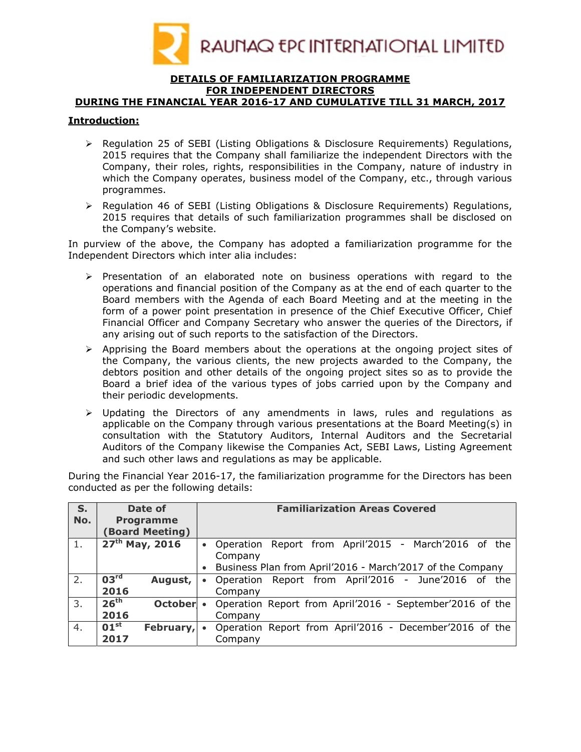

### DETAILS OF FAMILIARIZATION PROGRAMME FOR INDEPENDENT DIRECTORS

# DURING THE FINANCIAL YEAR 2016-17 AND CUMULATIVE TILL 31 MARCH, 2017

### Introduction:

- $\triangleright$  Regulation 25 of SEBI (Listing Obligations & Disclosure Reguirements) Regulations, 2015 requires that the Company shall familiarize the independent Directors with the Company, their roles, rights, responsibilities in the Company, nature of industry in which the Company operates, business model of the Company, etc., through various programmes.
- $\triangleright$  Regulation 46 of SEBI (Listing Obligations & Disclosure Requirements) Regulations, 2015 requires that details of such familiarization programmes shall be disclosed on the Company's website.

In purview of the above, the Company has adopted a familiarization programme for the Independent Directors which inter alia includes:

- $\triangleright$  Presentation of an elaborated note on business operations with regard to the operations and financial position of the Company as at the end of each quarter to the Board members with the Agenda of each Board Meeting and at the meeting in the form of a power point presentation in presence of the Chief Executive Officer, Chief Financial Officer and Company Secretary who answer the queries of the Directors, if any arising out of such reports to the satisfaction of the Directors.
- $\triangleright$  Apprising the Board members about the operations at the ongoing project sites of the Company, the various clients, the new projects awarded to the Company, the debtors position and other details of the ongoing project sites so as to provide the Board a brief idea of the various types of jobs carried upon by the Company and their periodic developments.
- $\triangleright$  Updating the Directors of any amendments in laws, rules and regulations as applicable on the Company through various presentations at the Board Meeting(s) in consultation with the Statutory Auditors, Internal Auditors and the Secretarial Auditors of the Company likewise the Companies Act, SEBI Laws, Listing Agreement and such other laws and regulations as may be applicable.

During the Financial Year 2016-17, the familiarization programme for the Directors has been conducted as per the following details:

| S.<br>No. | Date of<br><b>Programme</b>   | <b>Familiarization Areas Covered</b>                              |  |  |  |  |
|-----------|-------------------------------|-------------------------------------------------------------------|--|--|--|--|
|           | <b>Board Meeting)</b>         |                                                                   |  |  |  |  |
| 1.        | $27th$ May, 2016              | Operation Report from April'2015 - March'2016 of the<br>$\bullet$ |  |  |  |  |
|           |                               | Company                                                           |  |  |  |  |
|           |                               | Business Plan from April'2016 - March'2017 of the Company         |  |  |  |  |
| 2.        | 03 <sup>rd</sup><br>August,   | Report from April'2016 - June'2016 of the<br>Operation            |  |  |  |  |
|           | 2016                          | Company                                                           |  |  |  |  |
| 3.        | 26 <sup>th</sup><br>October • | Operation Report from April'2016 - September'2016 of the          |  |  |  |  |
|           | 2016                          | Company                                                           |  |  |  |  |
| 4.        | $01^{\rm st}$<br>February,    | Operation Report from April'2016 - December'2016 of the           |  |  |  |  |
|           | 2017                          | Company                                                           |  |  |  |  |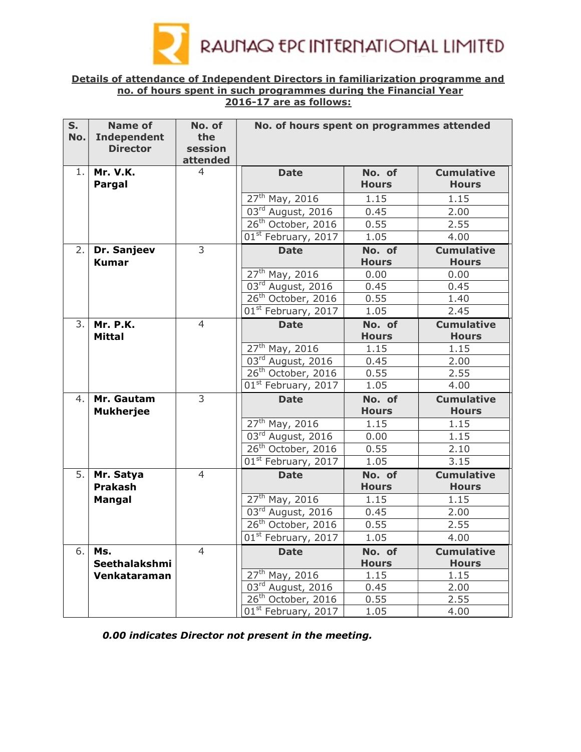

### Details of attendance of Independent Directors in familiarization programme and no. of hours spent in such programmes during the Financial Year 2016-17 are as follows:

| S <sub>1</sub> | <b>Name of</b>     | No. of         | No. of hours spent on programmes attended |              |                   |  |  |
|----------------|--------------------|----------------|-------------------------------------------|--------------|-------------------|--|--|
| No.            | <b>Independent</b> | the            |                                           |              |                   |  |  |
|                | <b>Director</b>    | session        |                                           |              |                   |  |  |
|                |                    | attended       |                                           |              |                   |  |  |
| 1.             | <b>Mr. V.K.</b>    | $\overline{4}$ | <b>Date</b>                               | No. of       | <b>Cumulative</b> |  |  |
|                | Pargal             |                |                                           | <b>Hours</b> | <b>Hours</b>      |  |  |
|                |                    |                | $27^{th}$ May, 2016                       | 1.15         | 1.15              |  |  |
|                |                    |                | 03rd August, 2016                         | 0.45         | 2.00              |  |  |
|                |                    |                | 26 <sup>th</sup> October, 2016            | 0.55         | 2.55              |  |  |
|                |                    |                | 01 <sup>st</sup> February, 2017           | 1.05         | 4.00              |  |  |
| 2.             | Dr. Sanjeev        | 3              | <b>Date</b>                               | No. of       | <b>Cumulative</b> |  |  |
|                | <b>Kumar</b>       |                |                                           | <b>Hours</b> | <b>Hours</b>      |  |  |
|                |                    |                | $27th$ May, 2016                          | 0.00         | 0.00              |  |  |
|                |                    |                | 03rd August, 2016                         | 0.45         | 0.45              |  |  |
|                |                    |                | 26 <sup>th</sup> October, 2016            | 0.55         | 1.40              |  |  |
|                |                    |                | 01 <sup>st</sup> February, 2017           | 1.05         | 2.45              |  |  |
| 3.             | <b>Mr. P.K.</b>    | $\overline{4}$ | <b>Date</b>                               | No. of       | <b>Cumulative</b> |  |  |
|                | <b>Mittal</b>      |                |                                           | <b>Hours</b> | <b>Hours</b>      |  |  |
|                |                    |                | 27 <sup>th</sup> May, 2016                | 1.15         | 1.15              |  |  |
|                |                    |                | 03rd August, 2016                         | 0.45         | 2.00              |  |  |
|                |                    |                | 26 <sup>th</sup> October, 2016            | 0.55         | 2.55              |  |  |
|                |                    |                | 01 <sup>st</sup> February, 2017           | 1.05         | 4.00              |  |  |
| 4.             | Mr. Gautam         | 3              | <b>Date</b>                               | No. of       | <b>Cumulative</b> |  |  |
|                | <b>Mukherjee</b>   |                |                                           | <b>Hours</b> | <b>Hours</b>      |  |  |
|                |                    |                | $27^{th}$ May, 2016                       | 1.15         | 1.15              |  |  |
|                |                    |                | 03rd August, 2016                         | 0.00         | 1.15              |  |  |
|                |                    |                | 26 <sup>th</sup> October, 2016            | 0.55         | 2.10              |  |  |
|                |                    |                | 01 <sup>st</sup> February, 2017           | 1.05         | 3.15              |  |  |
| 5.             | Mr. Satya          | $\overline{4}$ | <b>Date</b>                               | No. of       | <b>Cumulative</b> |  |  |
|                | Prakash            |                |                                           | <b>Hours</b> | <b>Hours</b>      |  |  |
|                | Mangal             |                | 27 <sup>th</sup> May, 2016                | 1.15         | 1.15              |  |  |
|                |                    |                | 03rd August, 2016                         | 0.45         | 2.00              |  |  |
|                |                    |                | 26 <sup>th</sup> October, 2016            | 0.55         | 2.55              |  |  |
|                |                    |                | 01 <sup>st</sup> February, 2017           | 1.05         | 4.00              |  |  |
| 6.             | Ms.                | $\overline{4}$ | <b>Date</b>                               | No. of       | <b>Cumulative</b> |  |  |
|                | Seethalakshmi      |                |                                           | <b>Hours</b> | <b>Hours</b>      |  |  |
|                | Venkataraman       |                | $27th$ May, 2016                          | 1.15         | 1.15              |  |  |
|                |                    |                | $03rd$ August, 2016                       | 0.45         | 2.00              |  |  |
|                |                    |                | 26 <sup>th</sup> October, 2016            | 0.55         | 2.55              |  |  |
|                |                    |                | 01st February, 2017                       | 1.05         | 4.00              |  |  |

0.00 indicates Director not present in the meeting.